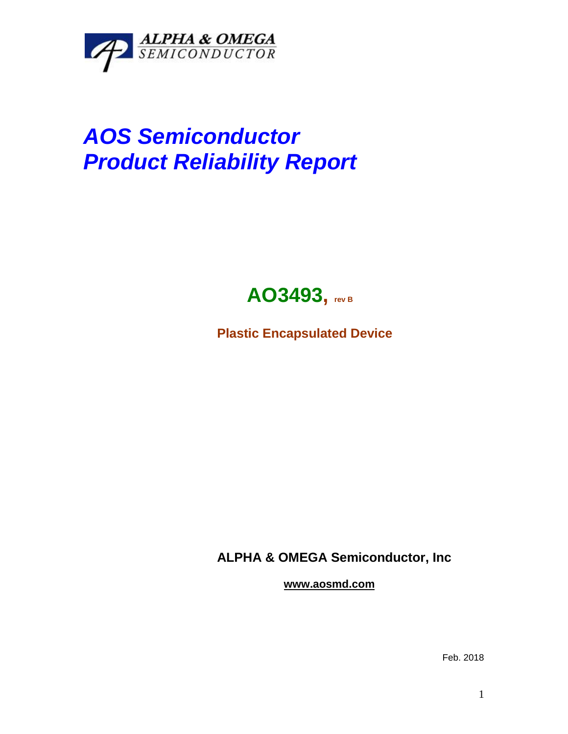

## *AOS Semiconductor Product Reliability Report*



**Plastic Encapsulated Device**

**ALPHA & OMEGA Semiconductor, Inc**

**www.aosmd.com**

Feb. 2018